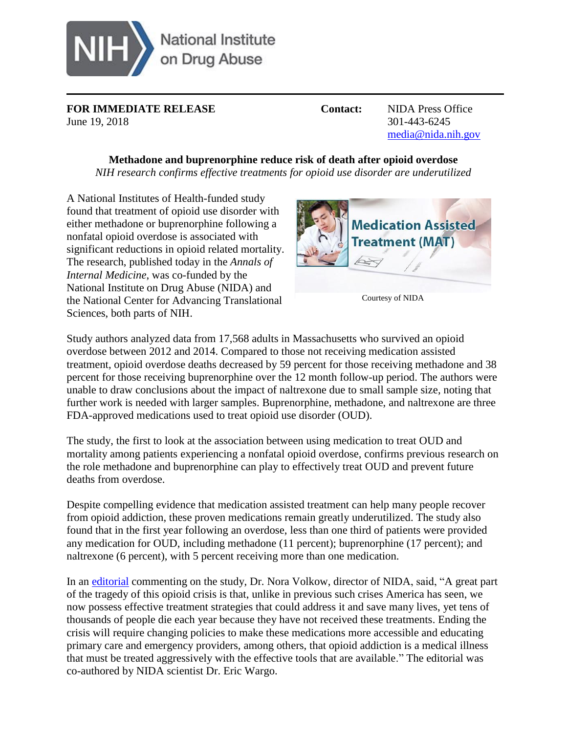

**FOR IMMEDIATE RELEASE Contact:** NIDA Press Office June 19, 2018 301-443-6245

[media@nida.nih.gov](mailto:media@nida.nih.gov)

# **Methadone and buprenorphine reduce risk of death after opioid overdose**

*NIH research confirms effective treatments for opioid use disorder are underutilized* 

A National Institutes of Health-funded study found that treatment of opioid use disorder with either methadone or buprenorphine following a nonfatal opioid overdose is associated with significant reductions in opioid related mortality. The research, published today in the *Annals of Internal Medicine*, was co-funded by the National Institute on Drug Abuse (NIDA) and the National Center for Advancing Translational Sciences, both parts of NIH.



Courtesy of NIDA

Study authors analyzed data from 17,568 adults in Massachusetts who survived an opioid overdose between 2012 and 2014. Compared to those not receiving medication assisted treatment, opioid overdose deaths decreased by 59 percent for those receiving methadone and 38 percent for those receiving buprenorphine over the 12 month follow-up period. The authors were unable to draw conclusions about the impact of naltrexone due to small sample size, noting that further work is needed with larger samples. Buprenorphine, methadone, and naltrexone are three FDA-approved medications used to treat opioid use disorder (OUD).

The study, the first to look at the association between using medication to treat OUD and mortality among patients experiencing a nonfatal opioid overdose, confirms previous research on the role methadone and buprenorphine can play to effectively treat OUD and prevent future deaths from overdose.

Despite compelling evidence that medication assisted treatment can help many people recover from opioid addiction, these proven medications remain greatly underutilized. The study also found that in the first year following an overdose, less than one third of patients were provided any medication for OUD, including methadone (11 percent); buprenorphine (17 percent); and naltrexone (6 percent), with 5 percent receiving more than one medication.

In an [editorial](http://annals.org/aim/article/doi/10.7326/M18-1397) commenting on the study, Dr. Nora Volkow, director of NIDA, said, "A great part of the tragedy of this opioid crisis is that, unlike in previous such crises America has seen, we now possess effective treatment strategies that could address it and save many lives, yet tens of thousands of people die each year because they have not received these treatments. Ending the crisis will require changing policies to make these medications more accessible and educating primary care and emergency providers, among others, that opioid addiction is a medical illness that must be treated aggressively with the effective tools that are available." The editorial was co-authored by NIDA scientist Dr. Eric Wargo.